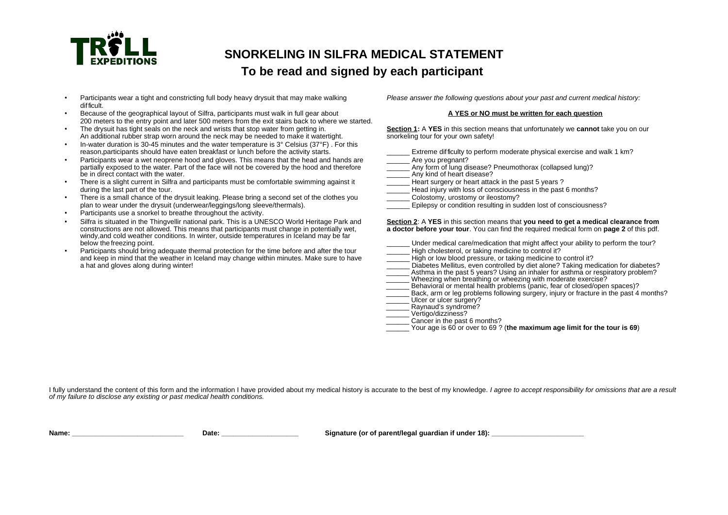

## **SNORKELING IN SILFRA MEDICAL STATEMENT**

### **To be read and signed by each participant**

- Participants wear a tight and constricting full body heavy drysuit that may make walking Please answer the following questions about your past and current medical history: difficult.
- Because of the geographical layout of Silfra, participants must walk in full gear about **A YES or NO must be written for each question** 200 meters to the entry point and later 500 meters from the exit stairs back to where we started.
- The drysuit has tight seals on the neck and wrists that stop water from getting in. **Section 1:** A **YES** in this section means that unfortunately we **cannot** take you on our An additional rubber strap worn around the neck may be needed to make it watertight.
- In-water duration is 30-45 minutes and the water temperature is 3° Celsius (37°F) . For this reason,participants should have eaten breakfast or lunch before the activity starts. The metal extreme difficulty to perform moderate physical exercise and walk 1 km?
- Participants wear a wet neoprene hood and gloves. This means that the head and hands are <br>partially exposed to the water. Part of the face will not be covered by the hood and therefore **Arrive Any form of lung disease?** Pn partially exposed to the water. Part of the face will not be covered by the hood and therefore \_\_\_\_\_\_ Any form of lung disease? Pneumothorax (collapsed lung)? be in direct contact with the water.
- There is a slight current in Silfra and participants must be comfortable swimming against it define the state surgery or heart attack in the past 5 years ?<br>
Head injury with loss of consciousness in the past 5 years in t
- There is a small chance of the drysuit leaking. Please bring a second set of the clothes you \_\_\_\_\_\_ Colostomy, urostomy or ileostomy? plan to wear under the drysuit (underwear/leggings/long sleeve/thermals).
- Participants use a snorkel to breathe throughout the activity.
- constructions are not allowed. This means that participants must change in potentially wet. windy,and cold weather conditions. In winter, outside temperatures in Iceland may be far<br>below the freezing point.
- Participants should bring adequate thermal protection for the time before and after the tour \_\_\_\_\_\_ High cholesterol, or taking medicine to control it? and keep in mind that the weather in Iceland may change within minutes. Make sure to have a hat and gloves along during winter!

- Head injury with loss of consciousness in the past 6 months? • Silfra is situated in the Thingvellir national park. This is a UNESCO World Heritage Park and **Section 2**: A **YES** in this section means that **you need to get a medical clearance from** Under medical care/medication that might affect your ability to perform the tour?
	- Diabetes Mellitus, even controlled by diet alone? Taking medication for diabetes?
	- Asthma in the past 5 years? Using an inhaler for asthma or respiratory problem?
	- Wheezing when breathing or wheezing with moderate exercise?
	- \_\_\_\_\_\_ Behavioral or mental health problems (panic, fear of closed/open spaces)?
	- Back, arm or leg problems following surgery, injury or fracture in the past 4 months?
	- Ulcer or ulcer surgery?
	- $\overline{\phantom{a}}$  Ravnaud's syndrome?
	- \_\_\_\_\_\_ Vertigo/dizziness?
	- Cancer in the past 6 months?
	- \_\_\_\_\_\_ Your age is 60 or over to 69 ? (**the maximum age limit for the tour is 69**)

I fully understand the content of this form and the information I have provided about my medical history is accurate to the best of my knowledge. I agree to accept responsibility for omissions that are a result of my failure to disclose any existing or past medical health conditions.

**Name: \_\_\_\_\_\_\_\_\_\_\_\_\_\_\_\_\_\_\_\_\_\_\_\_\_\_\_\_\_ Date: \_\_\_\_\_\_\_\_\_\_\_\_\_\_\_\_\_\_\_\_ Signature (or of parent/legal guardian if under 18): \_\_\_\_\_\_\_\_\_\_\_\_\_\_\_\_\_\_\_\_\_\_\_\_**